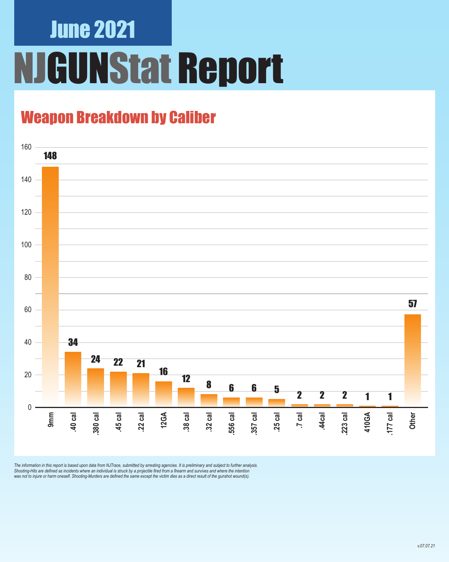## June 2021 **GUNStat Report**

### Weapon Breakdown by Caliber



The information in this report is based upon data from NJTrace, submitted by arresting agencies. It is preliminary and subject to further analysis.<br>Shooting-Hits are defined as incidents where an individual is struck by a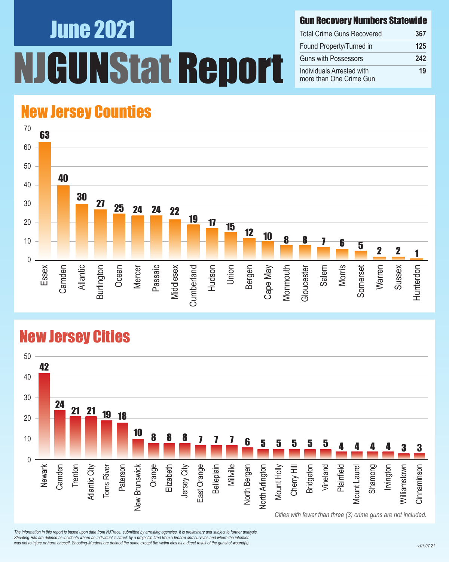# June 2021 UNStat Report

#### Gun Recovery Numbers Statewide

| <b>Total Crime Guns Recovered</b>                    | 367 |
|------------------------------------------------------|-----|
| Found Property/Turned in                             | 125 |
| <b>Guns with Possessors</b>                          | 242 |
| Individuals Arrested with<br>more than One Crime Gun | 19  |

#### New Jersey Counties



#### New Jersey Cities



*The information in this report is based upon data from NJTrace, submitted by arresting agencies. It is preliminary and subject to further analysis. Shooting-Hits are defined as incidents where an individual is struck by a projectile fired from a firearm and survives and where the intention*  was not to injure or harm oneself. Shooting-Murders are defined the same except the victim dies as a direct result of the gunshot wound(s).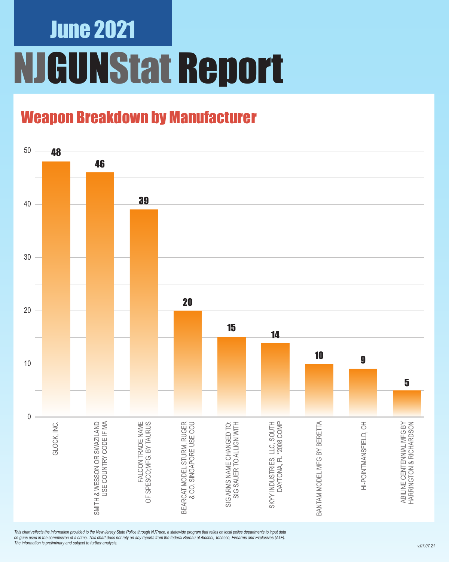### June 2021 NJGUNStat Report

### Weapon Breakdown by Manufacturer



*This chart reflects the information provided to the New Jersey State Police through NJTrace, a statewide program that relies on local police departments to input data on guns used in the commission of a crime. This chart does not rely on any reports from the federal Bureau of Alcohol, Tobacco, Firearms and Explosives (ATF). The information is preliminary and subject to further analysis.*